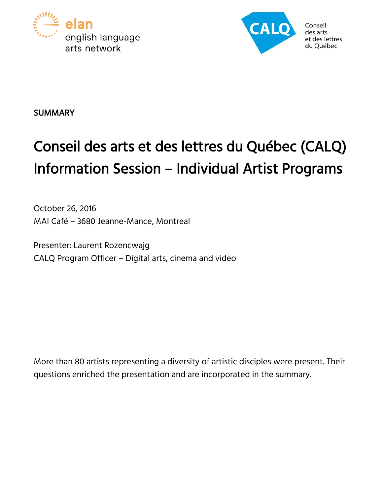



Conseil arts arts et des lettres du Ouébec

# **SUMMARY**

# Conseil des arts et des lettres du Québec (CALQ) Information Session – Individual Artist Programs

October 26, 2016 MAI Café – 3680 Jeanne-Mance, Montreal

Presenter: Laurent Rozencwajg CALQ Program Officer – Digital arts, cinema and video

More than 80 artists representing a diversity of artistic disciples were present. Their questions enriched the presentation and are incorporated in the summary.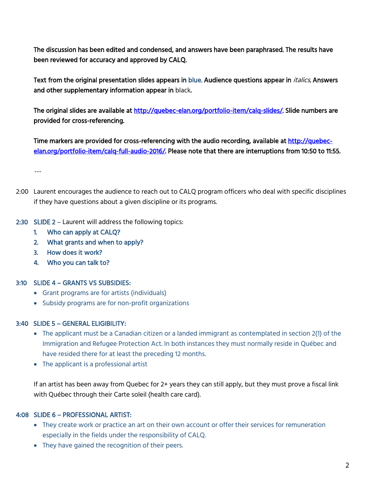The discussion has been edited and condensed, and answers have been paraphrased. The results have been reviewed for accuracy and approved by CALQ.

Text from the original presentation slides appears in blue. Audience questions appear in *italics*. Answers and other supplementary information appear in black.

The original slides are available at [http://quebec-elan.org/portfolio-item/calq-slides/.](http://quebec-elan.org/?post_type=portfolio&p=10552&preview=true) Slide numbers are provided for cross-referencing.

Time markers are provided for cross-referencing with the audio recording, available at [http://quebec](http://quebec-elan.org/?post_type=portfolio&p=10550&preview=true)[elan.org/portfolio-item/calq-full-audio-2016/.](http://quebec-elan.org/?post_type=portfolio&p=10550&preview=true) Please note that there are interruptions from 10:50 to 11:55.

---

- 2:00 Laurent encourages the audience to reach out to CALQ program officers who deal with specific disciplines if they have questions about a given discipline or its programs.
- 2:30 SLIDE 2 Laurent will address the following topics:
	- 1. Who can apply at CALQ?
	- 2. What grants and when to apply?
	- 3. How does it work?
	- 4. Who you can talk to?

#### 3:10 SLIDE 4 – GRANTS VS SUBSIDIES:

- Grant programs are for artists (individuals)
- Subsidy programs are for non-profit organizations

#### 3:40 SLIDE 5 – GENERAL ELIGIBILITY:

- The applicant must be a Canadian citizen or a landed immigrant as contemplated in section 2(1) of the Immigration and Refugee Protection Act. In both instances they must normally reside in Québec and have resided there for at least the preceding 12 months.
- The applicant is a professional artist

If an artist has been away from Quebec for 2+ years they can still apply, but they must prove a fiscal link with Québec through their Carte soleil (health care card).

#### 4:08 SLIDE 6 – PROFESSIONAL ARTIST:

- They create work or practice an art on their own account or offer their services for remuneration especially in the fields under the responsibility of CALQ.
- They have gained the recognition of their peers.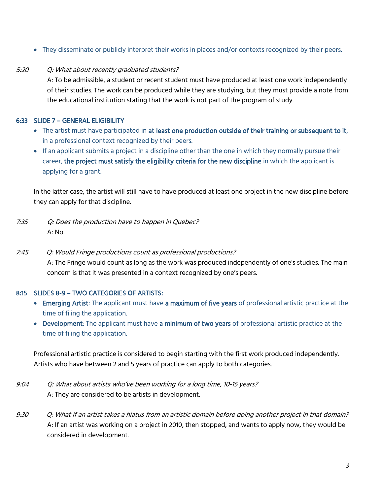They disseminate or publicly interpret their works in places and/or contexts recognized by their peers.

#### 5:20 Q: What about recently graduated students?

A: To be admissible, a student or recent student must have produced at least one work independently of their studies. The work can be produced while they are studying, but they must provide a note from the educational institution stating that the work is not part of the program of study.

#### 6:33 SLIDE 7 – GENERAL ELIGIBILITY

- The artist must have participated in at least one production outside of their training or subsequent to it, in a professional context recognized by their peers.
- If an applicant submits a project in a discipline other than the one in which they normally pursue their career, the project must satisfy the eligibility criteria for the new discipline in which the applicant is applying for a grant.

In the latter case, the artist will still have to have produced at least one project in the new discipline before they can apply for that discipline.

- 7:35 Q: Does the production have to happen in Quebec? A: No.
- 7:45 Q: Would Fringe productions count as professional productions? A: The Fringe would count as long as the work was produced independently of one's studies. The main concern is that it was presented in a context recognized by one's peers.

#### 8:15 SLIDES 8-9 – TWO CATEGORIES OF ARTISTS:

- **Emerging Artist:** The applicant must have a maximum of five years of professional artistic practice at the time of filing the application.
- Development: The applicant must have a minimum of two years of professional artistic practice at the time of filing the application.

Professional artistic practice is considered to begin starting with the first work produced independently. Artists who have between 2 and 5 years of practice can apply to both categories.

- 9:04 Q: What about artists who've been working for a long time, 10-15 years? A: They are considered to be artists in development.
- 9:30 Q: What if an artist takes a hiatus from an artistic domain before doing another project in that domain? A: If an artist was working on a project in 2010, then stopped, and wants to apply now, they would be considered in development.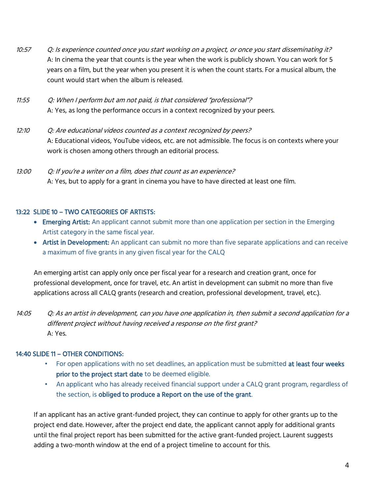- 10:57 Q: Is experience counted once you start working on a project, or once you start disseminating it? A: In cinema the year that counts is the year when the work is publicly shown. You can work for 5 years on a film, but the year when you present it is when the count starts. For a musical album, the count would start when the album is released.
- 11:55 Q: When I perform but am not paid, is that considered "professional"? A: Yes, as long the performance occurs in a context recognized by your peers.
- 12:10 Q: Are educational videos counted as a context recognized by peers? A: Educational videos, YouTube videos, etc. are not admissible. The focus is on contexts where your work is chosen among others through an editorial process.
- 13:00 Q: If you're a writer on a film, does that count as an experience? A: Yes, but to apply for a grant in cinema you have to have directed at least one film.

#### 13:22 SLIDE 10 – TWO CATEGORIES OF ARTISTS:

- Emerging Artist: An applicant cannot submit more than one application per section in the Emerging Artist category in the same fiscal year.
- Artist in Development: An applicant can submit no more than five separate applications and can receive a maximum of five grants in any given fiscal year for the CALQ

An emerging artist can apply only once per fiscal year for a research and creation grant, once for professional development, once for travel, etc. An artist in development can submit no more than five applications across all CALQ grants (research and creation, professional development, travel, etc.).

14:05 Q: As an artist in development, can you have one application in, then submit a second application for a different project without having received a response on the first grant? A: Yes.

### 14:40 SLIDE 11 – OTHER CONDITIONS:

- For open applications with no set deadlines, an application must be submitted at least four weeks prior to the project start date to be deemed eligible.
- An applicant who has already received financial support under a CALQ grant program, regardless of the section, is obliged to produce a Report on the use of the grant.

If an applicant has an active grant-funded project, they can continue to apply for other grants up to the project end date. However, after the project end date, the applicant cannot apply for additional grants until the final project report has been submitted for the active grant-funded project. Laurent suggests adding a two-month window at the end of a project timeline to account for this.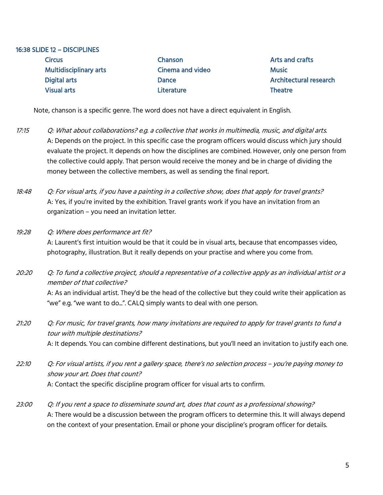| 16:38 SLIDE 12 - DISCIPLINES  |                         |                               |
|-------------------------------|-------------------------|-------------------------------|
| <b>Circus</b>                 | Chanson                 | Arts and crafts               |
| <b>Multidisciplinary arts</b> | <b>Cinema and video</b> | <b>Music</b>                  |
| <b>Digital arts</b>           | Dance                   | <b>Architectural research</b> |
| <b>Visual arts</b>            | <b>Literature</b>       | <b>Theatre</b>                |
|                               |                         |                               |

Note, chanson is a specific genre. The word does not have a direct equivalent in English.

- 17:15 Q: What about collaborations? e.g. a collective that works in multimedia, music, and digital arts. A: Depends on the project. In this specific case the program officers would discuss which jury should evaluate the project. It depends on how the disciplines are combined. However, only one person from the collective could apply. That person would receive the money and be in charge of dividing the money between the collective members, as well as sending the final report.
- 18:48 Q: For visual arts, if you have a painting in a collective show, does that apply for travel grants? A: Yes, if you're invited by the exhibition. Travel grants work if you have an invitation from an organization – you need an invitation letter.
- 19:28 Q: Where does performance art fit? A: Laurent's first intuition would be that it could be in visual arts, because that encompasses video, photography, illustration. But it really depends on your practise and where you come from.

20:20 Q: To fund a collective project, should a representative of a collective apply as an individual artist or a member of that collective? A: As an individual artist. They'd be the head of the collective but they could write their application as "we" e.g. "we want to do...". CALQ simply wants to deal with one person.

21:20 Q: For music, for travel grants, how many invitations are required to apply for travel grants to fund a tour with multiple destinations? A: It depends. You can combine different destinations, but you'll need an invitation to justify each one.

22:10 Q: For visual artists, if you rent a gallery space, there's no selection process – you're paying money to show your art. Does that count? A: Contact the specific discipline program officer for visual arts to confirm.

23:00 Q: If you rent a space to disseminate sound art, does that count as a professional showing? A: There would be a discussion between the program officers to determine this. It will always depend on the context of your presentation. Email or phone your discipline's program officer for details.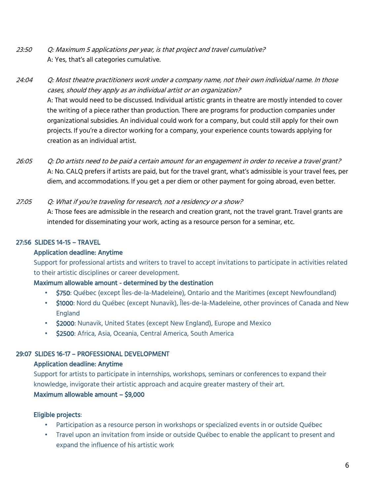- 23:50 Q: Maximum 5 applications per year, is that project and travel cumulative? A: Yes, that's all categories cumulative.
- 24:04 Q: Most theatre practitioners work under a company name, not their own individual name. In those cases, should they apply as an individual artist or an organization? A: That would need to be discussed. Individual artistic grants in theatre are mostly intended to cover the writing of a piece rather than production. There are programs for production companies under organizational subsidies. An individual could work for a company, but could still apply for their own projects. If you're a director working for a company, your experience counts towards applying for creation as an individual artist.
- 26:05 Q: Do artists need to be paid a certain amount for an engagement in order to receive a travel grant? A: No. CALQ prefers if artists are paid, but for the travel grant, what's admissible is your travel fees, per diem, and accommodations. If you get a per diem or other payment for going abroad, even better.
- 27:05 Q: What if you're traveling for research, not a residency or a show? A: Those fees are admissible in the research and creation grant, not the travel grant. Travel grants are intended for disseminating your work, acting as a resource person for a seminar, etc.

#### 27:56 SLIDES 14-15 – TRAVEL

#### Application deadline: Anytime

Support for professional artists and writers to travel to accept invitations to participate in activities related to their artistic disciplines or career development.

#### Maximum allowable amount - determined by the destination

- \$750: Québec (except Îles-de-la-Madeleine), Ontario and the Maritimes (except Newfoundland)
- \$1000: Nord du Québec (except Nunavik), Îles-de-la-Madeleine, other provinces of Canada and New England
- \$2000: Nunavik, United States (except New England), Europe and Mexico
- \$2500: Africa, Asia, Oceania, Central America, South America

#### 29:07 SLIDES 16-17 – PROFESSIONAL DEVELOPMENT

#### Application deadline: Anytime

Support for artists to participate in internships, workshops, seminars or conferences to expand their knowledge, invigorate their artistic approach and acquire greater mastery of their art.

#### Maximum allowable amount – \$9,000

#### Eligible projects:

- Participation as a resource person in workshops or specialized events in or outside Québec
- Travel upon an invitation from inside or outside Québec to enable the applicant to present and expand the influence of his artistic work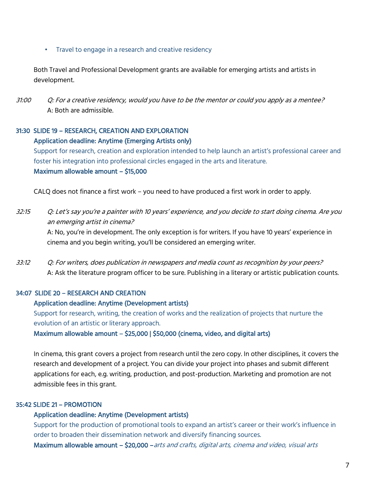#### • Travel to engage in a research and creative residency

Both Travel and Professional Development grants are available for emerging artists and artists in development.

31:00 Q: For a creative residency, would you have to be the mentor or could you apply as a mentee? A: Both are admissible.

# 31:30 SLIDE 19 – RESEARCH, CREATION AND EXPLORATION Application deadline: Anytime (Emerging Artists only)

Support for research, creation and exploration intended to help launch an artist's professional career and foster his integration into professional circles engaged in the arts and literature. Maximum allowable amount – \$15,000

CALQ does not finance a first work – you need to have produced a first work in order to apply.

32:15 Q: Let's say you're a painter with 10 years' experience, and you decide to start doing cinema. Are you an emerging artist in cinema?

A: No, you're in development. The only exception is for writers. If you have 10 years' experience in cinema and you begin writing, you'll be considered an emerging writer.

33:12 Q: For writers, does publication in newspapers and media count as recognition by your peers? A: Ask the literature program officer to be sure. Publishing in a literary or artistic publication counts.

#### 34:07 SLIDE 20 – RESEARCH AND CREATION

#### Application deadline: Anytime (Development artists)

Support for research, writing, the creation of works and the realization of projects that nurture the evolution of an artistic or literary approach.

Maximum allowable amount – \$25,000 | \$50,000 (cinema, video, and digital arts)

In cinema, this grant covers a project from research until the zero copy. In other disciplines, it covers the research and development of a project. You can divide your project into phases and submit different applications for each, e.g. writing, production, and post-production. Marketing and promotion are not admissible fees in this grant.

#### 35:42 SLIDE 21 – PROMOTION

#### Application deadline: Anytime (Development artists)

Support for the production of promotional tools to expand an artist's career or their work's influence in order to broaden their dissemination network and diversify financing sources.

Maximum allowable amount – \$20,000 – arts and crafts, digital arts, cinema and video, visual arts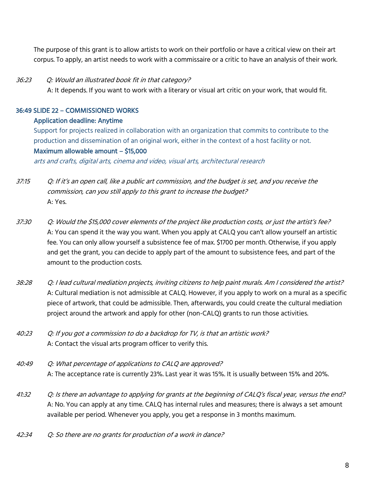The purpose of this grant is to allow artists to work on their portfolio or have a critical view on their art corpus. To apply, an artist needs to work with a commissaire or a critic to have an analysis of their work.

#### 36:23 Q: Would an illustrated book fit in that category?

A: It depends. If you want to work with a literary or visual art critic on your work, that would fit.

#### 36:49 SLIDE 22 – COMMISSIONED WORKS

#### Application deadline: Anytime

Support for projects realized in collaboration with an organization that commits to contribute to the production and dissemination of an original work, either in the context of a host facility or not. Maximum allowable amount – \$15,000

arts and crafts, digital arts, cinema and video, visual arts, architectural research

- 37:15 Q: If it's an open call, like a public art commission, and the budget is set, and you receive the commission, can you still apply to this grant to increase the budget? A: Yes.
- 37:30 Q: Would the \$15,000 cover elements of the project like production costs, or just the artist's fee? A: You can spend it the way you want. When you apply at CALQ you can't allow yourself an artistic fee. You can only allow yourself a subsistence fee of max. \$1700 per month. Otherwise, if you apply and get the grant, you can decide to apply part of the amount to subsistence fees, and part of the amount to the production costs.
- 38:28 Q: I lead cultural mediation projects, inviting citizens to help paint murals. Am I considered the artist? A: Cultural mediation is not admissible at CALQ. However, if you apply to work on a mural as a specific piece of artwork, that could be admissible. Then, afterwards, you could create the cultural mediation project around the artwork and apply for other (non-CALQ) grants to run those activities.
- 40:23 Q: If you got a commission to do a backdrop for TV, is that an artistic work? A: Contact the visual arts program officer to verify this.
- 40:49 Q: What percentage of applications to CALQ are approved? A: The acceptance rate is currently 23%. Last year it was 15%. It is usually between 15% and 20%.
- 41:32 Q: Is there an advantage to applying for grants at the beginning of CALQ's fiscal year, versus the end? A: No. You can apply at any time. CALQ has internal rules and measures; there is always a set amount available per period. Whenever you apply, you get a response in 3 months maximum.
- 42:34 Q: So there are no grants for production of a work in dance?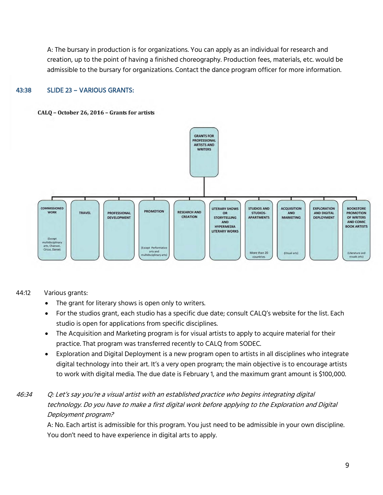A: The bursary in production is for organizations. You can apply as an individual for research and creation, up to the point of having a finished choreography. Production fees, materials, etc. would be admissible to the bursary for organizations. Contact the dance program officer for more information.

#### 43:38 SLIDE 23 – VARIOUS GRANTS:

#### CALO - October 26, 2016 - Grants for artists



#### 44:12 Various grants:

- The grant for literary shows is open only to writers.
- For the studios grant, each studio has a specific due date; consult CALQ's website for the list. Each studio is open for applications from specific disciplines.
- The Acquisition and Marketing program is for visual artists to apply to acquire material for their practice. That program was transferred recently to CALQ from SODEC.
- Exploration and Digital Deployment is a new program open to artists in all disciplines who integrate digital technology into their art. It's a very open program; the main objective is to encourage artists to work with digital media. The due date is February 1, and the maximum grant amount is \$100,000.

## 46:34 Q: Let's say you're a visual artist with an established practice who begins integrating digital technology. Do you have to make a first digital work before applying to the Exploration and Digital Deployment program?

A: No. Each artist is admissible for this program. You just need to be admissible in your own discipline. You don't need to have experience in digital arts to apply.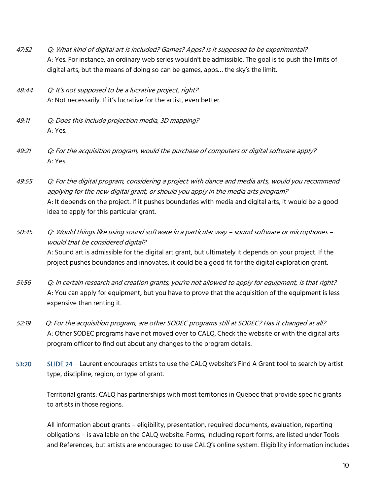- 47:52 Q: What kind of digital art is included? Games? Apps? Is it supposed to be experimental? A: Yes. For instance, an ordinary web series wouldn't be admissible. The goal is to push the limits of digital arts, but the means of doing so can be games, apps... the sky's the limit.
- 48:44 Q: It's not supposed to be a lucrative project, right? A: Not necessarily. If it's lucrative for the artist, even better.
- 49:11 Q: Does this include projection media, 3D mapping? A: Yes.
- 49:21 Q: For the acquisition program, would the purchase of computers or digital software apply? A: Yes.
- 49:55 Q: For the digital program, considering a project with dance and media arts, would you recommend applying for the new digital grant, or should you apply in the media arts program? A: It depends on the project. If it pushes boundaries with media and digital arts, it would be a good idea to apply for this particular grant.
- 50:45 Q: Would things like using sound software in a particular way sound software or microphones would that be considered digital? A: Sound art is admissible for the digital art grant, but ultimately it depends on your project. If the project pushes boundaries and innovates, it could be a good fit for the digital exploration grant.
- 51:56 Q: In certain research and creation grants, you're not allowed to apply for equipment, is that right? A: You can apply for equipment, but you have to prove that the acquisition of the equipment is less expensive than renting it.
- 52:19 Q: For the acquisition program, are other SODEC programs still at SODEC? Has it changed at all? A: Other SODEC programs have not moved over to CALQ. Check the website or with the digital arts program officer to find out about any changes to the program details.
- 53:20 SLIDE 24 Laurent encourages artists to use the CALQ website's Find A Grant tool to search by artist type, discipline, region, or type of grant.

Territorial grants: CALQ has partnerships with most territories in Quebec that provide specific grants to artists in those regions.

All information about grants – eligibility, presentation, required documents, evaluation, reporting obligations – is available on the CALQ website. Forms, including report forms, are listed under Tools and References, but artists are encouraged to use CALQ's online system. Eligibility information includes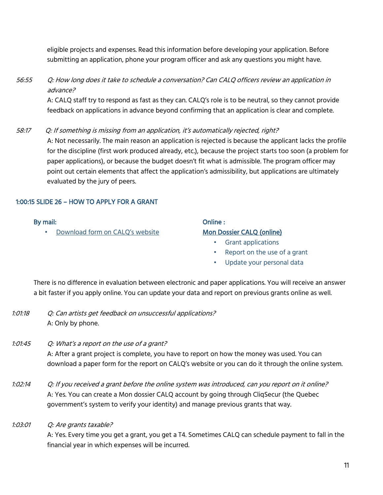eligible projects and expenses. Read this information before developing your application. Before submitting an application, phone your program officer and ask any questions you might have.

## 56:55 Q: How long does it take to schedule a conversation? Can CALQ officers review an application in advance?

A: CALQ staff try to respond as fast as they can. CALQ's role is to be neutral, so they cannot provide feedback on applications in advance beyond confirming that an application is clear and complete.

58:17 Q: If something is missing from an application, it's automatically rejected, right? A: Not necessarily. The main reason an application is rejected is because the applicant lacks the profile for the discipline (first work produced already, etc.), because the project starts too soon (a problem for paper applications), or because the budget doesn't fit what is admissible. The program officer may point out certain elements that affect the application's admissibility, but applications are ultimately evaluated by the jury of peers.

#### 1:00:15 SLIDE 26 – HOW TO APPLY FOR A GRANT

#### By mail:

• [Download form](https://www.calq.gouv.qc.ca/en/aides/recherche-et-creation-2/?profil_0=160&profil_1=164&profil_2=168&disciplines=220/) [on](https://www.calq.gouv.qc.ca/en/aides/recherche-et-creation-2/?profil_0=160&profil_1=164&profil_2=168&disciplines=220/) [CALQ's](https://www.calq.gouv.qc.ca/en/aides/recherche-et-creation-2/?profil_0=160&profil_1=164&profil_2=168&disciplines=220/) [website](https://www.calq.gouv.qc.ca/en/aides/recherche-et-creation-2/?profil_0=160&profil_1=164&profil_2=168&disciplines=220/)

#### Online : [Mon Dossier CALQ \(online\)](https://www.calq.gouv.qc.ca/en/)

- Grant applications
- Report on the use of a grant
- Update your personal data

There is no difference in evaluation between electronic and paper applications. You will receive an answer a bit faster if you apply online. You can update your data and report on previous grants online as well.

- 1:01:18 Q: Can artists get feedback on unsuccessful applications? A: Only by phone.
- 1:01:45 Q: What's a report on the use of a grant? A: After a grant project is complete, you have to report on how the money was used. You can download a paper form for the report on CALQ's website or you can do it through the online system.
- 1:02:14 Q: If you received a grant before the online system was introduced, can you report on it online? A: Yes. You can create a Mon dossier CALQ account by going through CliqSecur (the Quebec government's system to verify your identity) and manage previous grants that way.
- 1:03:01 Q: Are grants taxable?

A: Yes. Every time you get a grant, you get a T4. Sometimes CALQ can schedule payment to fall in the financial year in which expenses will be incurred.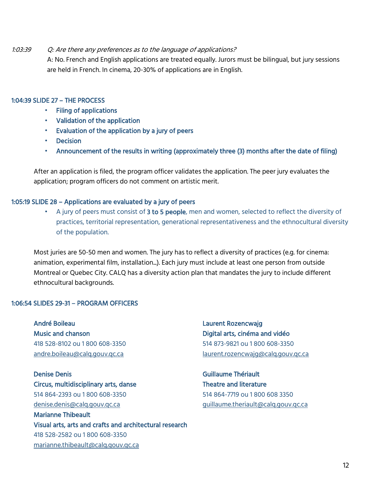#### 1:03:39 Q: Are there any preferences as to the language of applications?

A: No. French and English applications are treated equally. Jurors must be bilingual, but jury sessions are held in French. In cinema, 20-30% of applications are in English.

#### 1:04:39 SLIDE 27 – THE PROCESS

- Filing of applications
- Validation of the application
- Evaluation of the application by a jury of peers
- Decision
- Announcement of the results in writing (approximately three (3) months after the date of filing)

After an application is filed, the program officer validates the application. The peer jury evaluates the application; program officers do not comment on artistic merit.

#### 1:05:19 SLIDE 28 – Applications are evaluated by a jury of peers

A jury of peers must consist of 3 to 5 people, men and women, selected to reflect the diversity of practices, territorial representation, generational representativeness and the ethnocultural diversity of the population.

Most juries are 50-50 men and women. The jury has to reflect a diversity of practices (e.g. for cinema: animation, experimental film, installation...). Each jury must include at least one person from outside Montreal or Quebec City. CALQ has a diversity action plan that mandates the jury to include different ethnocultural backgrounds.

#### 1:06:54 SLIDES 29-31 – PROGRAM OFFICERS

André Boileau Music and chanson 418 528-8102 ou 1 800 608-3350 [andre.boileau@calq.gouv.qc.ca](mailto:andre.boileau@calq.gouv.qc.ca)

Denise Denis Circus, multidisciplinary arts, danse 514 864-2393 ou 1 800 608-3350 [denise.denis@calq.gouv.qc.ca](mailto:denise.denis@calq.gouv.qc.ca) Marianne Thibeault Visual arts, arts and crafts and architectural research 418 528-2582 ou 1 800 608-3350 [marianne.thibeault@calq.gouv.qc.ca](mailto:marianne.thibeault@calq.gouv.qc.ca)

Laurent Rozencwajg Digital arts, cinéma and vidéo 514 873-9821 ou 1 800 608-3350 [laurent.rozencwajg@calq.gouv.qc.ca](mailto:laurent.rozencwajg@calq.gouv.qc.ca)

Guillaume Thériault Theatre and literature 514 864-7719 ou 1 800 608 3350 [guillaume.theriault@calq.gouv.qc.ca](mailto:guillaume.theriault@calq.gouv.qc.ca)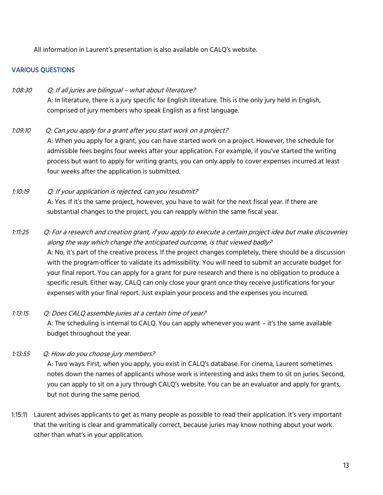All information in Laurent's presentation is also available on CALQ's website.

#### VARIOUS QUESTIONS

## 1:08:30 Q: If all juries are bilingual – what about literature? A: In literature, there is a jury specific for English literature. This is the only jury held in English, comprised of jury members who speak English as a first language.

1:09:10 Q: Can you apply for a grant after you start work on a project? A: When you apply for a grant, you can have started work on a project. However, the schedule for admissible fees begins four weeks after your application. For example, if you've started the writing process but want to apply for writing grants, you can only apply to cover expenses incurred at least four weeks after the application is submitted.

## 1:10:19 Q: If your application is rejected, can you resubmit? A: Yes. If it's the same project, however, you have to wait for the next fiscal year. If there are substantial changes to the project, you can reapply within the same fiscal year.

## 1:11:25 Q: For a research and creation grant, if you apply to execute a certain project idea but make discoveries along the way which change the anticipated outcome, is that viewed badly? A: No, it's part of the creative process. If the project changes completely, there should be a discussion with the program officer to validate its admissibility. You will need to submit an accurate budget for your final report. You can apply for a grant for pure research and there is no obligation to produce a specific result. Either way, CALQ can only close your grant once they receive justifications for your expenses with your final report. Just explain your process and the expenses you incurred.

# 1:13:15 Q: Does CALQ assemble juries at a certain time of year? A: The scheduling is internal to CALQ. You can apply whenever you want – it's the same available budget throughout the year.

- 1:13:55 Q: How do you choose jury members? A: Two ways. First, when you apply, you exist in CALQ's database. For cinema, Laurent sometimes notes down the names of applicants whose work is interesting and asks them to sit on juries. Second, you can apply to sit on a jury through CALQ's website. You can be an evaluator and apply for grants, but not during the same period.
- 1:15:11 Laurent advises applicants to get as many people as possible to read their application. It's very important that the writing is clear and grammatically correct, because juries may know nothing about your work other than what's in your application.